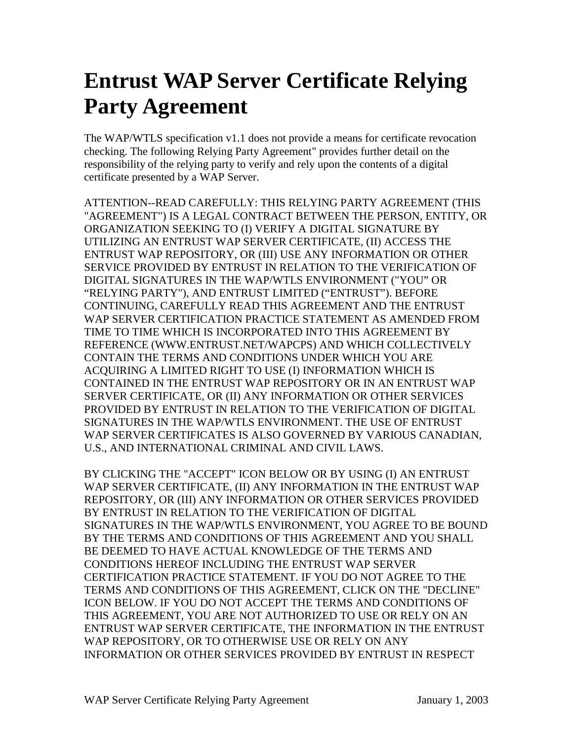## **Entrust WAP Server Certificate Relying Party Agreement**

The WAP/WTLS specification v1.1 does not provide a means for certificate revocation checking. The following Relying Party Agreement" provides further detail on the responsibility of the relying party to verify and rely upon the contents of a digital certificate presented by a WAP Server.

ATTENTION--READ CAREFULLY: THIS RELYING PARTY AGREEMENT (THIS "AGREEMENT") IS A LEGAL CONTRACT BETWEEN THE PERSON, ENTITY, OR ORGANIZATION SEEKING TO (I) VERIFY A DIGITAL SIGNATURE BY UTILIZING AN ENTRUST WAP SERVER CERTIFICATE, (II) ACCESS THE ENTRUST WAP REPOSITORY, OR (III) USE ANY INFORMATION OR OTHER SERVICE PROVIDED BY ENTRUST IN RELATION TO THE VERIFICATION OF DIGITAL SIGNATURES IN THE WAP/WTLS ENVIRONMENT ("YOU" OR "RELYING PARTY"), AND ENTRUST LIMITED ("ENTRUST"). BEFORE CONTINUING, CAREFULLY READ THIS AGREEMENT AND THE ENTRUST WAP SERVER CERTIFICATION PRACTICE STATEMENT AS AMENDED FROM TIME TO TIME WHICH IS INCORPORATED INTO THIS AGREEMENT BY REFERENCE (WWW.ENTRUST.NET/WAPCPS) AND WHICH COLLECTIVELY CONTAIN THE TERMS AND CONDITIONS UNDER WHICH YOU ARE ACQUIRING A LIMITED RIGHT TO USE (I) INFORMATION WHICH IS CONTAINED IN THE ENTRUST WAP REPOSITORY OR IN AN ENTRUST WAP SERVER CERTIFICATE, OR (II) ANY INFORMATION OR OTHER SERVICES PROVIDED BY ENTRUST IN RELATION TO THE VERIFICATION OF DIGITAL SIGNATURES IN THE WAP/WTLS ENVIRONMENT. THE USE OF ENTRUST WAP SERVER CERTIFICATES IS ALSO GOVERNED BY VARIOUS CANADIAN, U.S., AND INTERNATIONAL CRIMINAL AND CIVIL LAWS.

BY CLICKING THE "ACCEPT" ICON BELOW OR BY USING (I) AN ENTRUST WAP SERVER CERTIFICATE, (II) ANY INFORMATION IN THE ENTRUST WAP REPOSITORY, OR (III) ANY INFORMATION OR OTHER SERVICES PROVIDED BY ENTRUST IN RELATION TO THE VERIFICATION OF DIGITAL SIGNATURES IN THE WAP/WTLS ENVIRONMENT, YOU AGREE TO BE BOUND BY THE TERMS AND CONDITIONS OF THIS AGREEMENT AND YOU SHALL BE DEEMED TO HAVE ACTUAL KNOWLEDGE OF THE TERMS AND CONDITIONS HEREOF INCLUDING THE ENTRUST WAP SERVER CERTIFICATION PRACTICE STATEMENT. IF YOU DO NOT AGREE TO THE TERMS AND CONDITIONS OF THIS AGREEMENT, CLICK ON THE "DECLINE" ICON BELOW. IF YOU DO NOT ACCEPT THE TERMS AND CONDITIONS OF THIS AGREEMENT, YOU ARE NOT AUTHORIZED TO USE OR RELY ON AN ENTRUST WAP SERVER CERTIFICATE, THE INFORMATION IN THE ENTRUST WAP REPOSITORY, OR TO OTHERWISE USE OR RELY ON ANY INFORMATION OR OTHER SERVICES PROVIDED BY ENTRUST IN RESPECT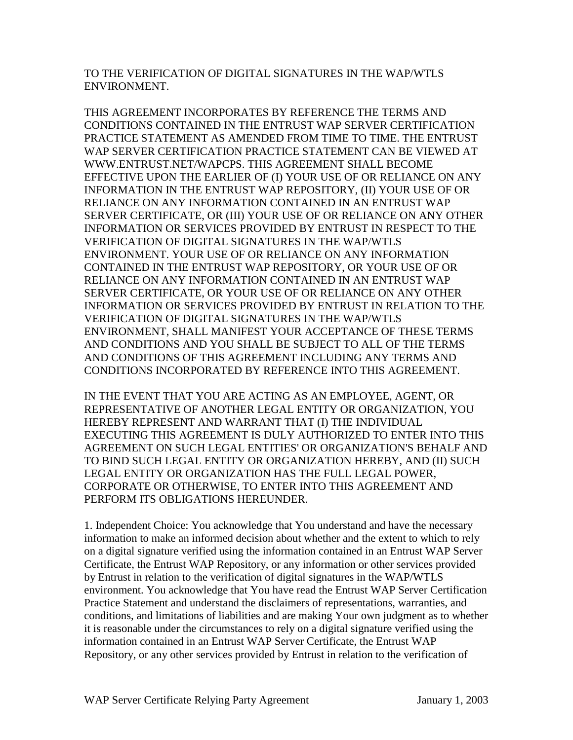TO THE VERIFICATION OF DIGITAL SIGNATURES IN THE WAP/WTLS ENVIRONMENT.

THIS AGREEMENT INCORPORATES BY REFERENCE THE TERMS AND CONDITIONS CONTAINED IN THE ENTRUST WAP SERVER CERTIFICATION PRACTICE STATEMENT AS AMENDED FROM TIME TO TIME. THE ENTRUST WAP SERVER CERTIFICATION PRACTICE STATEMENT CAN BE VIEWED AT WWW.ENTRUST.NET/WAPCPS. THIS AGREEMENT SHALL BECOME EFFECTIVE UPON THE EARLIER OF (I) YOUR USE OF OR RELIANCE ON ANY INFORMATION IN THE ENTRUST WAP REPOSITORY, (II) YOUR USE OF OR RELIANCE ON ANY INFORMATION CONTAINED IN AN ENTRUST WAP SERVER CERTIFICATE, OR (III) YOUR USE OF OR RELIANCE ON ANY OTHER INFORMATION OR SERVICES PROVIDED BY ENTRUST IN RESPECT TO THE VERIFICATION OF DIGITAL SIGNATURES IN THE WAP/WTLS ENVIRONMENT. YOUR USE OF OR RELIANCE ON ANY INFORMATION CONTAINED IN THE ENTRUST WAP REPOSITORY, OR YOUR USE OF OR RELIANCE ON ANY INFORMATION CONTAINED IN AN ENTRUST WAP SERVER CERTIFICATE, OR YOUR USE OF OR RELIANCE ON ANY OTHER INFORMATION OR SERVICES PROVIDED BY ENTRUST IN RELATION TO THE VERIFICATION OF DIGITAL SIGNATURES IN THE WAP/WTLS ENVIRONMENT, SHALL MANIFEST YOUR ACCEPTANCE OF THESE TERMS AND CONDITIONS AND YOU SHALL BE SUBJECT TO ALL OF THE TERMS AND CONDITIONS OF THIS AGREEMENT INCLUDING ANY TERMS AND CONDITIONS INCORPORATED BY REFERENCE INTO THIS AGREEMENT.

IN THE EVENT THAT YOU ARE ACTING AS AN EMPLOYEE, AGENT, OR REPRESENTATIVE OF ANOTHER LEGAL ENTITY OR ORGANIZATION, YOU HEREBY REPRESENT AND WARRANT THAT (I) THE INDIVIDUAL EXECUTING THIS AGREEMENT IS DULY AUTHORIZED TO ENTER INTO THIS AGREEMENT ON SUCH LEGAL ENTITIES' OR ORGANIZATION'S BEHALF AND TO BIND SUCH LEGAL ENTITY OR ORGANIZATION HEREBY, AND (II) SUCH LEGAL ENTITY OR ORGANIZATION HAS THE FULL LEGAL POWER, CORPORATE OR OTHERWISE, TO ENTER INTO THIS AGREEMENT AND PERFORM ITS OBLIGATIONS HEREUNDER.

1. Independent Choice: You acknowledge that You understand and have the necessary information to make an informed decision about whether and the extent to which to rely on a digital signature verified using the information contained in an Entrust WAP Server Certificate, the Entrust WAP Repository, or any information or other services provided by Entrust in relation to the verification of digital signatures in the WAP/WTLS environment. You acknowledge that You have read the Entrust WAP Server Certification Practice Statement and understand the disclaimers of representations, warranties, and conditions, and limitations of liabilities and are making Your own judgment as to whether it is reasonable under the circumstances to rely on a digital signature verified using the information contained in an Entrust WAP Server Certificate, the Entrust WAP Repository, or any other services provided by Entrust in relation to the verification of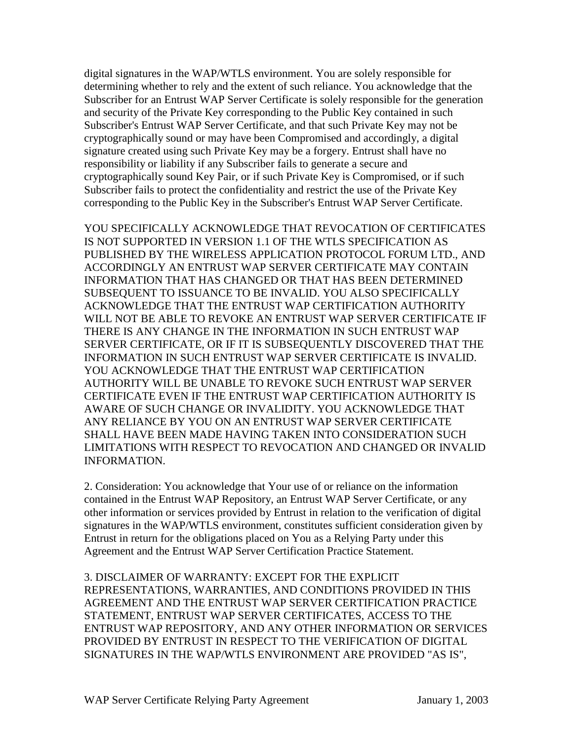digital signatures in the WAP/WTLS environment. You are solely responsible for determining whether to rely and the extent of such reliance. You acknowledge that the Subscriber for an Entrust WAP Server Certificate is solely responsible for the generation and security of the Private Key corresponding to the Public Key contained in such Subscriber's Entrust WAP Server Certificate, and that such Private Key may not be cryptographically sound or may have been Compromised and accordingly, a digital signature created using such Private Key may be a forgery. Entrust shall have no responsibility or liability if any Subscriber fails to generate a secure and cryptographically sound Key Pair, or if such Private Key is Compromised, or if such Subscriber fails to protect the confidentiality and restrict the use of the Private Key corresponding to the Public Key in the Subscriber's Entrust WAP Server Certificate.

YOU SPECIFICALLY ACKNOWLEDGE THAT REVOCATION OF CERTIFICATES IS NOT SUPPORTED IN VERSION 1.1 OF THE WTLS SPECIFICATION AS PUBLISHED BY THE WIRELESS APPLICATION PROTOCOL FORUM LTD., AND ACCORDINGLY AN ENTRUST WAP SERVER CERTIFICATE MAY CONTAIN INFORMATION THAT HAS CHANGED OR THAT HAS BEEN DETERMINED SUBSEQUENT TO ISSUANCE TO BE INVALID. YOU ALSO SPECIFICALLY ACKNOWLEDGE THAT THE ENTRUST WAP CERTIFICATION AUTHORITY WILL NOT BE ABLE TO REVOKE AN ENTRUST WAP SERVER CERTIFICATE IF THERE IS ANY CHANGE IN THE INFORMATION IN SUCH ENTRUST WAP SERVER CERTIFICATE, OR IF IT IS SUBSEQUENTLY DISCOVERED THAT THE INFORMATION IN SUCH ENTRUST WAP SERVER CERTIFICATE IS INVALID. YOU ACKNOWLEDGE THAT THE ENTRUST WAP CERTIFICATION AUTHORITY WILL BE UNABLE TO REVOKE SUCH ENTRUST WAP SERVER CERTIFICATE EVEN IF THE ENTRUST WAP CERTIFICATION AUTHORITY IS AWARE OF SUCH CHANGE OR INVALIDITY. YOU ACKNOWLEDGE THAT ANY RELIANCE BY YOU ON AN ENTRUST WAP SERVER CERTIFICATE SHALL HAVE BEEN MADE HAVING TAKEN INTO CONSIDERATION SUCH LIMITATIONS WITH RESPECT TO REVOCATION AND CHANGED OR INVALID INFORMATION.

2. Consideration: You acknowledge that Your use of or reliance on the information contained in the Entrust WAP Repository, an Entrust WAP Server Certificate, or any other information or services provided by Entrust in relation to the verification of digital signatures in the WAP/WTLS environment, constitutes sufficient consideration given by Entrust in return for the obligations placed on You as a Relying Party under this Agreement and the Entrust WAP Server Certification Practice Statement.

3. DISCLAIMER OF WARRANTY: EXCEPT FOR THE EXPLICIT REPRESENTATIONS, WARRANTIES, AND CONDITIONS PROVIDED IN THIS AGREEMENT AND THE ENTRUST WAP SERVER CERTIFICATION PRACTICE STATEMENT, ENTRUST WAP SERVER CERTIFICATES, ACCESS TO THE ENTRUST WAP REPOSITORY, AND ANY OTHER INFORMATION OR SERVICES PROVIDED BY ENTRUST IN RESPECT TO THE VERIFICATION OF DIGITAL SIGNATURES IN THE WAP/WTLS ENVIRONMENT ARE PROVIDED "AS IS",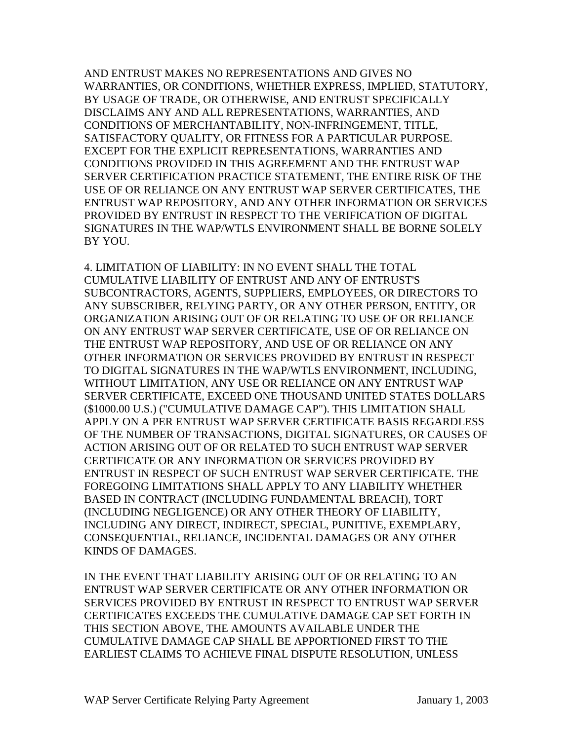AND ENTRUST MAKES NO REPRESENTATIONS AND GIVES NO WARRANTIES, OR CONDITIONS, WHETHER EXPRESS, IMPLIED, STATUTORY, BY USAGE OF TRADE, OR OTHERWISE, AND ENTRUST SPECIFICALLY DISCLAIMS ANY AND ALL REPRESENTATIONS, WARRANTIES, AND CONDITIONS OF MERCHANTABILITY, NON-INFRINGEMENT, TITLE, SATISFACTORY QUALITY, OR FITNESS FOR A PARTICULAR PURPOSE. EXCEPT FOR THE EXPLICIT REPRESENTATIONS, WARRANTIES AND CONDITIONS PROVIDED IN THIS AGREEMENT AND THE ENTRUST WAP SERVER CERTIFICATION PRACTICE STATEMENT, THE ENTIRE RISK OF THE USE OF OR RELIANCE ON ANY ENTRUST WAP SERVER CERTIFICATES, THE ENTRUST WAP REPOSITORY, AND ANY OTHER INFORMATION OR SERVICES PROVIDED BY ENTRUST IN RESPECT TO THE VERIFICATION OF DIGITAL SIGNATURES IN THE WAP/WTLS ENVIRONMENT SHALL BE BORNE SOLELY BY YOU.

4. LIMITATION OF LIABILITY: IN NO EVENT SHALL THE TOTAL CUMULATIVE LIABILITY OF ENTRUST AND ANY OF ENTRUST'S SUBCONTRACTORS, AGENTS, SUPPLIERS, EMPLOYEES, OR DIRECTORS TO ANY SUBSCRIBER, RELYING PARTY, OR ANY OTHER PERSON, ENTITY, OR ORGANIZATION ARISING OUT OF OR RELATING TO USE OF OR RELIANCE ON ANY ENTRUST WAP SERVER CERTIFICATE, USE OF OR RELIANCE ON THE ENTRUST WAP REPOSITORY, AND USE OF OR RELIANCE ON ANY OTHER INFORMATION OR SERVICES PROVIDED BY ENTRUST IN RESPECT TO DIGITAL SIGNATURES IN THE WAP/WTLS ENVIRONMENT, INCLUDING, WITHOUT LIMITATION, ANY USE OR RELIANCE ON ANY ENTRUST WAP SERVER CERTIFICATE, EXCEED ONE THOUSAND UNITED STATES DOLLARS (\$1000.00 U.S.) ("CUMULATIVE DAMAGE CAP"). THIS LIMITATION SHALL APPLY ON A PER ENTRUST WAP SERVER CERTIFICATE BASIS REGARDLESS OF THE NUMBER OF TRANSACTIONS, DIGITAL SIGNATURES, OR CAUSES OF ACTION ARISING OUT OF OR RELATED TO SUCH ENTRUST WAP SERVER CERTIFICATE OR ANY INFORMATION OR SERVICES PROVIDED BY ENTRUST IN RESPECT OF SUCH ENTRUST WAP SERVER CERTIFICATE. THE FOREGOING LIMITATIONS SHALL APPLY TO ANY LIABILITY WHETHER BASED IN CONTRACT (INCLUDING FUNDAMENTAL BREACH), TORT (INCLUDING NEGLIGENCE) OR ANY OTHER THEORY OF LIABILITY, INCLUDING ANY DIRECT, INDIRECT, SPECIAL, PUNITIVE, EXEMPLARY, CONSEQUENTIAL, RELIANCE, INCIDENTAL DAMAGES OR ANY OTHER KINDS OF DAMAGES.

IN THE EVENT THAT LIABILITY ARISING OUT OF OR RELATING TO AN ENTRUST WAP SERVER CERTIFICATE OR ANY OTHER INFORMATION OR SERVICES PROVIDED BY ENTRUST IN RESPECT TO ENTRUST WAP SERVER CERTIFICATES EXCEEDS THE CUMULATIVE DAMAGE CAP SET FORTH IN THIS SECTION ABOVE, THE AMOUNTS AVAILABLE UNDER THE CUMULATIVE DAMAGE CAP SHALL BE APPORTIONED FIRST TO THE EARLIEST CLAIMS TO ACHIEVE FINAL DISPUTE RESOLUTION, UNLESS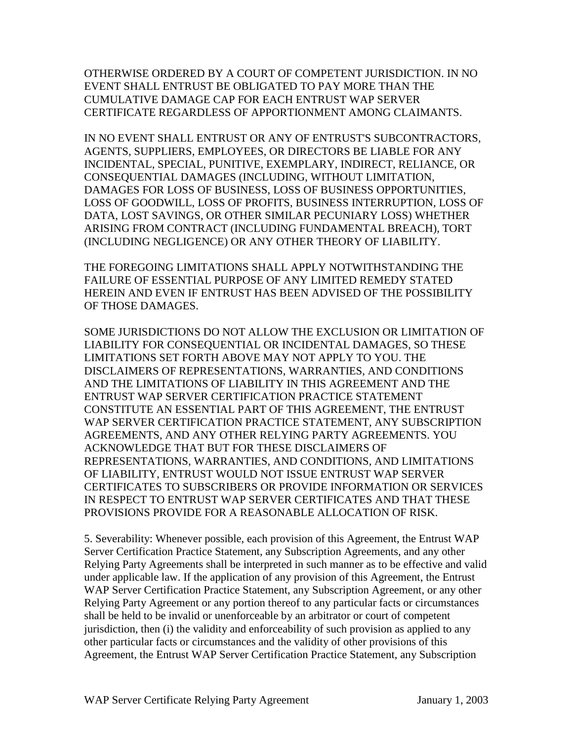OTHERWISE ORDERED BY A COURT OF COMPETENT JURISDICTION. IN NO EVENT SHALL ENTRUST BE OBLIGATED TO PAY MORE THAN THE CUMULATIVE DAMAGE CAP FOR EACH ENTRUST WAP SERVER CERTIFICATE REGARDLESS OF APPORTIONMENT AMONG CLAIMANTS.

IN NO EVENT SHALL ENTRUST OR ANY OF ENTRUST'S SUBCONTRACTORS, AGENTS, SUPPLIERS, EMPLOYEES, OR DIRECTORS BE LIABLE FOR ANY INCIDENTAL, SPECIAL, PUNITIVE, EXEMPLARY, INDIRECT, RELIANCE, OR CONSEQUENTIAL DAMAGES (INCLUDING, WITHOUT LIMITATION, DAMAGES FOR LOSS OF BUSINESS, LOSS OF BUSINESS OPPORTUNITIES, LOSS OF GOODWILL, LOSS OF PROFITS, BUSINESS INTERRUPTION, LOSS OF DATA, LOST SAVINGS, OR OTHER SIMILAR PECUNIARY LOSS) WHETHER ARISING FROM CONTRACT (INCLUDING FUNDAMENTAL BREACH), TORT (INCLUDING NEGLIGENCE) OR ANY OTHER THEORY OF LIABILITY.

THE FOREGOING LIMITATIONS SHALL APPLY NOTWITHSTANDING THE FAILURE OF ESSENTIAL PURPOSE OF ANY LIMITED REMEDY STATED HEREIN AND EVEN IF ENTRUST HAS BEEN ADVISED OF THE POSSIBILITY OF THOSE DAMAGES.

SOME JURISDICTIONS DO NOT ALLOW THE EXCLUSION OR LIMITATION OF LIABILITY FOR CONSEQUENTIAL OR INCIDENTAL DAMAGES, SO THESE LIMITATIONS SET FORTH ABOVE MAY NOT APPLY TO YOU. THE DISCLAIMERS OF REPRESENTATIONS, WARRANTIES, AND CONDITIONS AND THE LIMITATIONS OF LIABILITY IN THIS AGREEMENT AND THE ENTRUST WAP SERVER CERTIFICATION PRACTICE STATEMENT CONSTITUTE AN ESSENTIAL PART OF THIS AGREEMENT, THE ENTRUST WAP SERVER CERTIFICATION PRACTICE STATEMENT, ANY SUBSCRIPTION AGREEMENTS, AND ANY OTHER RELYING PARTY AGREEMENTS. YOU ACKNOWLEDGE THAT BUT FOR THESE DISCLAIMERS OF REPRESENTATIONS, WARRANTIES, AND CONDITIONS, AND LIMITATIONS OF LIABILITY, ENTRUST WOULD NOT ISSUE ENTRUST WAP SERVER CERTIFICATES TO SUBSCRIBERS OR PROVIDE INFORMATION OR SERVICES IN RESPECT TO ENTRUST WAP SERVER CERTIFICATES AND THAT THESE PROVISIONS PROVIDE FOR A REASONABLE ALLOCATION OF RISK.

5. Severability: Whenever possible, each provision of this Agreement, the Entrust WAP Server Certification Practice Statement, any Subscription Agreements, and any other Relying Party Agreements shall be interpreted in such manner as to be effective and valid under applicable law. If the application of any provision of this Agreement, the Entrust WAP Server Certification Practice Statement, any Subscription Agreement, or any other Relying Party Agreement or any portion thereof to any particular facts or circumstances shall be held to be invalid or unenforceable by an arbitrator or court of competent jurisdiction, then (i) the validity and enforceability of such provision as applied to any other particular facts or circumstances and the validity of other provisions of this Agreement, the Entrust WAP Server Certification Practice Statement, any Subscription